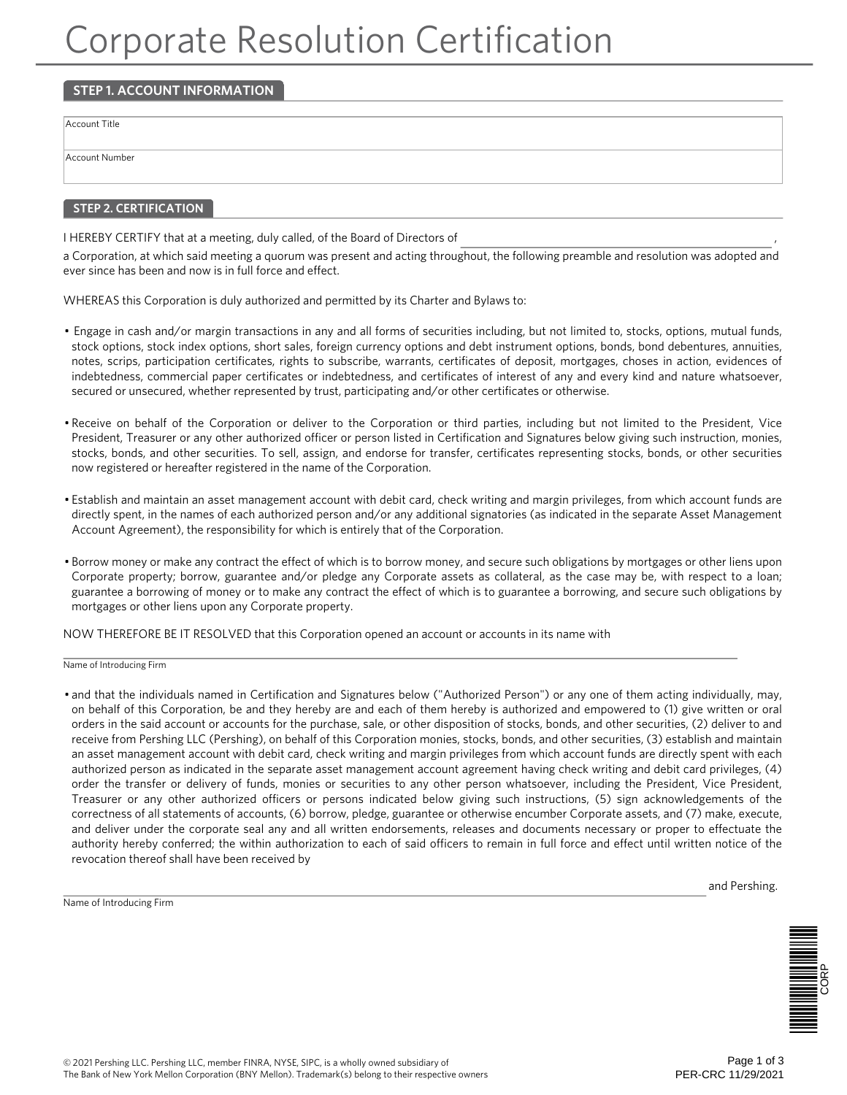# Corporate Resolution Certification

## **STEP 1. ACCOUNT INFORMATION**

Account Title

Account Number

## **STEP 2. CERTIFICATION**

I HEREBY CERTIFY that at a meeting, duly called, of the Board of Directors of

a Corporation, at which said meeting a quorum was present and acting throughout, the following preamble and resolution was adopted and ever since has been and now is in full force and effect.

WHEREAS this Corporation is duly authorized and permitted by its Charter and Bylaws to:

- Engage in cash and/or margin transactions in any and all forms of securities including, but not limited to, stocks, options, mutual funds, stock options, stock index options, short sales, foreign currency options and debt instrument options, bonds, bond debentures, annuities, notes, scrips, participation certificates, rights to subscribe, warrants, certificates of deposit, mortgages, choses in action, evidences of indebtedness, commercial paper certificates or indebtedness, and certificates of interest of any and every kind and nature whatsoever, secured or unsecured, whether represented by trust, participating and/or other certificates or otherwise.
- Receive on behalf of the Corporation or deliver to the Corporation or third parties, including but not limited to the President, Vice President, Treasurer or any other authorized officer or person listed in Certification and Signatures below giving such instruction, monies, stocks, bonds, and other securities. To sell, assign, and endorse for transfer, certificates representing stocks, bonds, or other securities now registered or hereafter registered in the name of the Corporation.
- Establish and maintain an asset management account with debit card, check writing and margin privileges, from which account funds are directly spent, in the names of each authorized person and/or any additional signatories (as indicated in the separate Asset Management Account Agreement), the responsibility for which is entirely that of the Corporation.
- Borrow money or make any contract the effect of which is to borrow money, and secure such obligations by mortgages or other liens upon Corporate property; borrow, guarantee and/or pledge any Corporate assets as collateral, as the case may be, with respect to a loan; guarantee a borrowing of money or to make any contract the effect of which is to guarantee a borrowing, and secure such obligations by mortgages or other liens upon any Corporate property.

NOW THEREFORE BE IT RESOLVED that this Corporation opened an account or accounts in its name with

Name of Introducing Firm

• and that the individuals named in Certification and Signatures below ("Authorized Person") or any one of them acting individually, may, on behalf of this Corporation, be and they hereby are and each of them hereby is authorized and empowered to (1) give written or oral orders in the said account or accounts for the purchase, sale, or other disposition of stocks, bonds, and other securities, (2) deliver to and receive from Pershing LLC (Pershing), on behalf of this Corporation monies, stocks, bonds, and other securities, (3) establish and maintain an asset management account with debit card, check writing and margin privileges from which account funds are directly spent with each authorized person as indicated in the separate asset management account agreement having check writing and debit card privileges, (4) order the transfer or delivery of funds, monies or securities to any other person whatsoever, including the President, Vice President, Treasurer or any other authorized officers or persons indicated below giving such instructions, (5) sign acknowledgements of the correctness of all statements of accounts, (6) borrow, pledge, guarantee or otherwise encumber Corporate assets, and (7) make, execute, and deliver under the corporate seal any and all written endorsements, releases and documents necessary or proper to effectuate the authority hereby conferred; the within authorization to each of said officers to remain in full force and effect until written notice of the revocation thereof shall have been received by

Name of Introducing Firm

and Pershing.

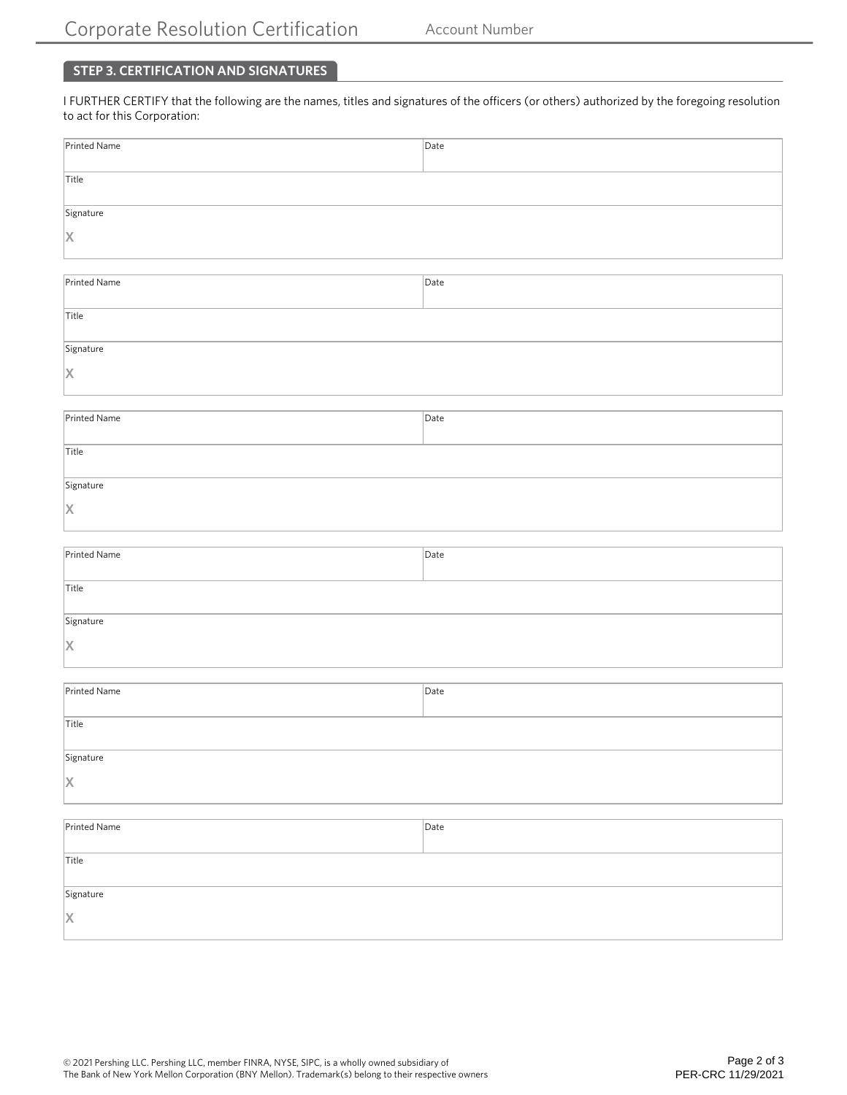# **STEP 3. CERTIFICATION AND SIGNATURES**

I FURTHER CERTIFY that the following are the names, titles and signatures of the officers (or others) authorized by the foregoing resolution to act for this Corporation:

| Printed Name                    | Date |  |  |
|---------------------------------|------|--|--|
|                                 |      |  |  |
| Title                           |      |  |  |
| Signature                       |      |  |  |
| $\vert$ X                       |      |  |  |
|                                 |      |  |  |
| Printed Name                    | Date |  |  |
|                                 |      |  |  |
| Title                           |      |  |  |
|                                 |      |  |  |
| Signature                       |      |  |  |
| X                               |      |  |  |
|                                 |      |  |  |
| Printed Name                    | Date |  |  |
|                                 |      |  |  |
| Title                           |      |  |  |
| Signature                       |      |  |  |
| X                               |      |  |  |
|                                 |      |  |  |
|                                 |      |  |  |
| Printed Name                    | Date |  |  |
| Title                           |      |  |  |
|                                 |      |  |  |
| Signature                       |      |  |  |
| X                               |      |  |  |
|                                 |      |  |  |
| $\boxed{\mathsf{Printed Name}}$ | Date |  |  |
|                                 |      |  |  |
| Title                           |      |  |  |
| Signature                       |      |  |  |
| X                               |      |  |  |
|                                 |      |  |  |
|                                 |      |  |  |
| Printed Name                    | Date |  |  |
| Title                           |      |  |  |
|                                 |      |  |  |
| Signature                       |      |  |  |
| X                               |      |  |  |
|                                 |      |  |  |